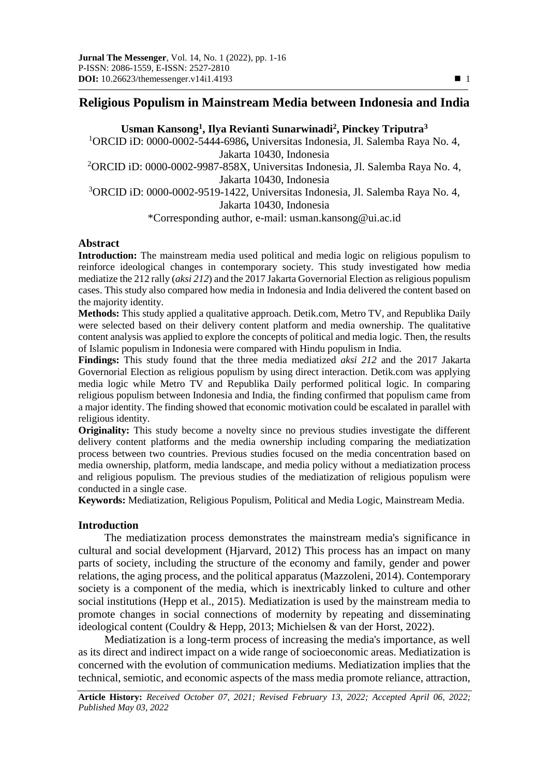# **Religious Populism in Mainstream Media between Indonesia and India**

# **Usman Kansong<sup>1</sup> , Ilya Revianti Sunarwinadi<sup>2</sup> , Pinckey Triputra<sup>3</sup>**

<sup>1</sup>ORCID iD: 0000-0002-5444-6986**,** Universitas Indonesia, Jl. Salemba Raya No. 4, Jakarta 10430, Indonesia <sup>2</sup>ORCID iD: 0000-0002-9987-858X, Universitas Indonesia, Jl. Salemba Raya No. 4, Jakarta 10430, Indonesia <sup>3</sup>ORCID iD: 0000-0002-9519-1422, Universitas Indonesia, Jl. Salemba Raya No. 4, Jakarta 10430, Indonesia \*Corresponding author, e-mail: usman.kansong@ui.ac.id

#### **Abstract**

**Introduction:** The mainstream media used political and media logic on religious populism to reinforce ideological changes in contemporary society. This study investigated how media mediatize the 212 rally (*aksi 212*) and the 2017 Jakarta Governorial Election as religious populism cases. This study also compared how media in Indonesia and India delivered the content based on the majority identity.

**Methods:** This study applied a qualitative approach. Detik.com, Metro TV, and Republika Daily were selected based on their delivery content platform and media ownership. The qualitative content analysis was applied to explore the concepts of political and media logic. Then, the results of Islamic populism in Indonesia were compared with Hindu populism in India.

**Findings:** This study found that the three media mediatized *aksi 212* and the 2017 Jakarta Governorial Election as religious populism by using direct interaction. Detik.com was applying media logic while Metro TV and Republika Daily performed political logic. In comparing religious populism between Indonesia and India, the finding confirmed that populism came from a major identity. The finding showed that economic motivation could be escalated in parallel with religious identity.

**Originality:** This study become a novelty since no previous studies investigate the different delivery content platforms and the media ownership including comparing the mediatization process between two countries. Previous studies focused on the media concentration based on media ownership, platform, media landscape, and media policy without a mediatization process and religious populism. The previous studies of the mediatization of religious populism were conducted in a single case.

**Keywords:** Mediatization, Religious Populism, Political and Media Logic, Mainstream Media.

## **Introduction**

The mediatization process demonstrates the mainstream media's significance in cultural and social development (Hjarvard, 2012) This process has an impact on many parts of society, including the structure of the economy and family, gender and power relations, the aging process, and the political apparatus (Mazzoleni, 2014). Contemporary society is a component of the media, which is inextricably linked to culture and other social institutions (Hepp et al., 2015). Mediatization is used by the mainstream media to promote changes in social connections of modernity by repeating and disseminating ideological content (Couldry & Hepp, 2013; Michielsen & van der Horst, 2022).

Mediatization is a long-term process of increasing the media's importance, as well as its direct and indirect impact on a wide range of socioeconomic areas. Mediatization is concerned with the evolution of communication mediums. Mediatization implies that the technical, semiotic, and economic aspects of the mass media promote reliance, attraction,

**Article History:** *Received October 07, 2021; Revised February 13, 2022; Accepted April 06, 2022; Published May 03, 2022*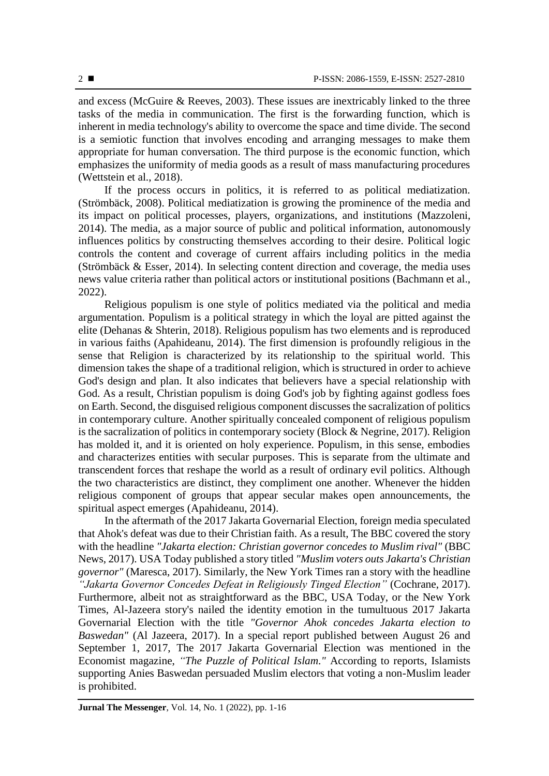and excess (McGuire & Reeves, 2003). These issues are inextricably linked to the three tasks of the media in communication. The first is the forwarding function, which is inherent in media technology's ability to overcome the space and time divide. The second is a semiotic function that involves encoding and arranging messages to make them appropriate for human conversation. The third purpose is the economic function, which emphasizes the uniformity of media goods as a result of mass manufacturing procedures (Wettstein et al., 2018).

If the process occurs in politics, it is referred to as political mediatization. (Strömbäck, 2008). Political mediatization is growing the prominence of the media and its impact on political processes, players, organizations, and institutions (Mazzoleni, 2014). The media, as a major source of public and political information, autonomously influences politics by constructing themselves according to their desire. Political logic controls the content and coverage of current affairs including politics in the media (Strömbäck & Esser, 2014). In selecting content direction and coverage, the media uses news value criteria rather than political actors or institutional positions (Bachmann et al., 2022).

Religious populism is one style of politics mediated via the political and media argumentation. Populism is a political strategy in which the loyal are pitted against the elite (Dehanas & Shterin, 2018). Religious populism has two elements and is reproduced in various faiths (Apahideanu, 2014). The first dimension is profoundly religious in the sense that Religion is characterized by its relationship to the spiritual world. This dimension takes the shape of a traditional religion, which is structured in order to achieve God's design and plan. It also indicates that believers have a special relationship with God. As a result, Christian populism is doing God's job by fighting against godless foes on Earth. Second, the disguised religious component discusses the sacralization of politics in contemporary culture. Another spiritually concealed component of religious populism is the sacralization of politics in contemporary society (Block & Negrine, 2017). Religion has molded it, and it is oriented on holy experience. Populism, in this sense, embodies and characterizes entities with secular purposes. This is separate from the ultimate and transcendent forces that reshape the world as a result of ordinary evil politics. Although the two characteristics are distinct, they compliment one another. Whenever the hidden religious component of groups that appear secular makes open announcements, the spiritual aspect emerges (Apahideanu, 2014).

In the aftermath of the 2017 Jakarta Governarial Election, foreign media speculated that Ahok's defeat was due to their Christian faith. As a result, The BBC covered the story with the headline *"Jakarta election: Christian governor concedes to Muslim rival"* (BBC News, 2017). USA Today published a story titled *"Muslim voters outs Jakarta's Christian governor"* (Maresca, 2017). Similarly, the New York Times ran a story with the headline *"Jakarta Governor Concedes Defeat in Religiously Tinged Election"* (Cochrane, 2017). Furthermore, albeit not as straightforward as the BBC, USA Today, or the New York Times, Al-Jazeera story's nailed the identity emotion in the tumultuous 2017 Jakarta Governarial Election with the title *"Governor Ahok concedes Jakarta election to Baswedan"* (Al Jazeera, 2017). In a special report published between August 26 and September 1, 2017, The 2017 Jakarta Governarial Election was mentioned in the Economist magazine, *"The Puzzle of Political Islam."* According to reports, Islamists supporting Anies Baswedan persuaded Muslim electors that voting a non-Muslim leader is prohibited.

**Jurnal The Messenger**, Vol. 14, No. 1 (2022), pp. 1-16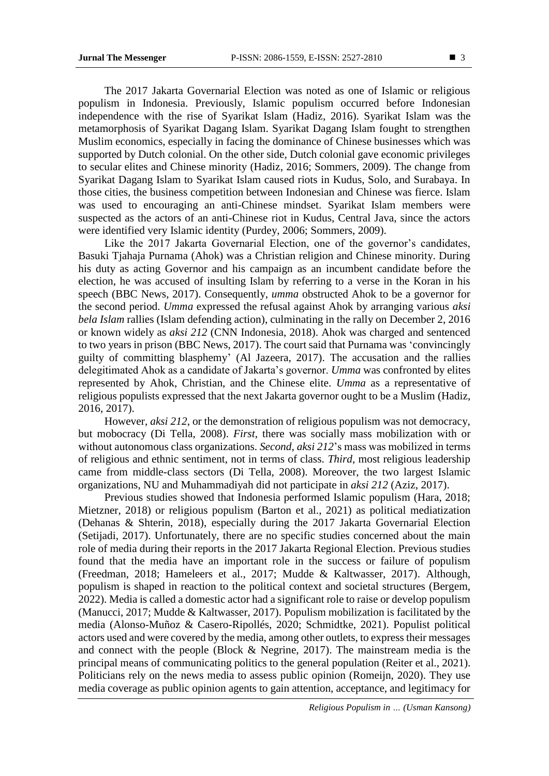The 2017 Jakarta Governarial Election was noted as one of Islamic or religious populism in Indonesia. Previously, Islamic populism occurred before Indonesian independence with the rise of Syarikat Islam (Hadiz, 2016). Syarikat Islam was the metamorphosis of Syarikat Dagang Islam. Syarikat Dagang Islam fought to strengthen Muslim economics, especially in facing the dominance of Chinese businesses which was supported by Dutch colonial. On the other side, Dutch colonial gave economic privileges to secular elites and Chinese minority (Hadiz, 2016; Sommers, 2009). The change from Syarikat Dagang Islam to Syarikat Islam caused riots in Kudus, Solo, and Surabaya. In those cities, the business competition between Indonesian and Chinese was fierce. Islam was used to encouraging an anti-Chinese mindset. Syarikat Islam members were suspected as the actors of an anti-Chinese riot in Kudus, Central Java, since the actors were identified very Islamic identity (Purdey, 2006; Sommers, 2009).

Like the 2017 Jakarta Governarial Election, one of the governor's candidates, Basuki Tjahaja Purnama (Ahok) was a Christian religion and Chinese minority. During his duty as acting Governor and his campaign as an incumbent candidate before the election, he was accused of insulting Islam by referring to a verse in the Koran in his speech (BBC News, 2017). Consequently, *umma* obstructed Ahok to be a governor for the second period. *Umma* expressed the refusal against Ahok by arranging various *aksi bela Islam* rallies (Islam defending action), culminating in the rally on December 2, 2016 or known widely as *aksi 212* (CNN Indonesia, 2018). Ahok was charged and sentenced to two years in prison (BBC News, 2017). The court said that Purnama was 'convincingly guilty of committing blasphemy' (Al Jazeera, 2017). The accusation and the rallies delegitimated Ahok as a candidate of Jakarta's governor. *Umma* was confronted by elites represented by Ahok, Christian, and the Chinese elite. *Umma* as a representative of religious populists expressed that the next Jakarta governor ought to be a Muslim (Hadiz, 2016, 2017).

However, *aksi 212*, or the demonstration of religious populism was not democracy, but mobocracy (Di Tella, 2008). *First*, there was socially mass mobilization with or without autonomous class organizations. *Second*, *aksi 212*'s mass was mobilized in terms of religious and ethnic sentiment, not in terms of class. *Third*, most religious leadership came from middle-class sectors (Di Tella, 2008). Moreover, the two largest Islamic organizations, NU and Muhammadiyah did not participate in *aksi 212* (Aziz, 2017).

Previous studies showed that Indonesia performed Islamic populism (Hara, 2018; Mietzner, 2018) or religious populism (Barton et al., 2021) as political mediatization (Dehanas & Shterin, 2018), especially during the 2017 Jakarta Governarial Election (Setijadi, 2017). Unfortunately, there are no specific studies concerned about the main role of media during their reports in the 2017 Jakarta Regional Election. Previous studies found that the media have an important role in the success or failure of populism (Freedman, 2018; Hameleers et al., 2017; Mudde & Kaltwasser, 2017). Although, populism is shaped in reaction to the political context and societal structures (Bergem, 2022). Media is called a domestic actor had a significant role to raise or develop populism (Manucci, 2017; Mudde & Kaltwasser, 2017). Populism mobilization is facilitated by the media (Alonso-Muñoz & Casero-Ripollés, 2020; Schmidtke, 2021). Populist political actors used and were covered by the media, among other outlets, to express their messages and connect with the people (Block & Negrine, 2017). The mainstream media is the principal means of communicating politics to the general population (Reiter et al., 2021). Politicians rely on the news media to assess public opinion (Romeijn, 2020). They use media coverage as public opinion agents to gain attention, acceptance, and legitimacy for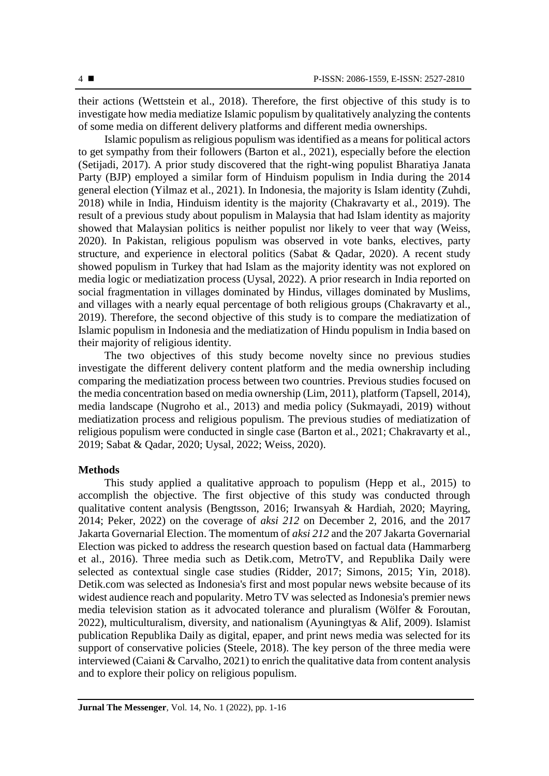their actions (Wettstein et al., 2018). Therefore, the first objective of this study is to investigate how media mediatize Islamic populism by qualitatively analyzing the contents of some media on different delivery platforms and different media ownerships.

Islamic populism as religious populism was identified as a means for political actors to get sympathy from their followers (Barton et al., 2021), especially before the election (Setijadi, 2017). A prior study discovered that the right-wing populist Bharatiya Janata Party (BJP) employed a similar form of Hinduism populism in India during the 2014 general election (Yilmaz et al., 2021). In Indonesia, the majority is Islam identity (Zuhdi, 2018) while in India, Hinduism identity is the majority (Chakravarty et al., 2019). The result of a previous study about populism in Malaysia that had Islam identity as majority showed that Malaysian politics is neither populist nor likely to veer that way (Weiss, 2020). In Pakistan, religious populism was observed in vote banks, electives, party structure, and experience in electoral politics (Sabat & Qadar, 2020). A recent study showed populism in Turkey that had Islam as the majority identity was not explored on media logic or mediatization process (Uysal, 2022). A prior research in India reported on social fragmentation in villages dominated by Hindus, villages dominated by Muslims, and villages with a nearly equal percentage of both religious groups (Chakravarty et al., 2019). Therefore, the second objective of this study is to compare the mediatization of Islamic populism in Indonesia and the mediatization of Hindu populism in India based on their majority of religious identity.

The two objectives of this study become novelty since no previous studies investigate the different delivery content platform and the media ownership including comparing the mediatization process between two countries. Previous studies focused on the media concentration based on media ownership (Lim, 2011), platform (Tapsell, 2014), media landscape (Nugroho et al., 2013) and media policy (Sukmayadi, 2019) without mediatization process and religious populism. The previous studies of mediatization of religious populism were conducted in single case (Barton et al., 2021; Chakravarty et al., 2019; Sabat & Qadar, 2020; Uysal, 2022; Weiss, 2020).

## **Methods**

This study applied a qualitative approach to populism (Hepp et al., 2015) to accomplish the objective. The first objective of this study was conducted through qualitative content analysis (Bengtsson, 2016; Irwansyah & Hardiah, 2020; Mayring, 2014; Peker, 2022) on the coverage of *aksi 212* on December 2, 2016, and the 2017 Jakarta Governarial Election. The momentum of *aksi 212* and the 207 Jakarta Governarial Election was picked to address the research question based on factual data (Hammarberg et al., 2016). Three media such as Detik.com, MetroTV, and Republika Daily were selected as contextual single case studies (Ridder, 2017; Simons, 2015; Yin, 2018). Detik.com was selected as Indonesia's first and most popular news website because of its widest audience reach and popularity. Metro TV was selected as Indonesia's premier news media television station as it advocated tolerance and pluralism (Wölfer & Foroutan, 2022), multiculturalism, diversity, and nationalism (Ayuningtyas & Alif, 2009). Islamist publication Republika Daily as digital, epaper, and print news media was selected for its support of conservative policies (Steele, 2018). The key person of the three media were interviewed (Caiani & Carvalho, 2021) to enrich the qualitative data from content analysis and to explore their policy on religious populism.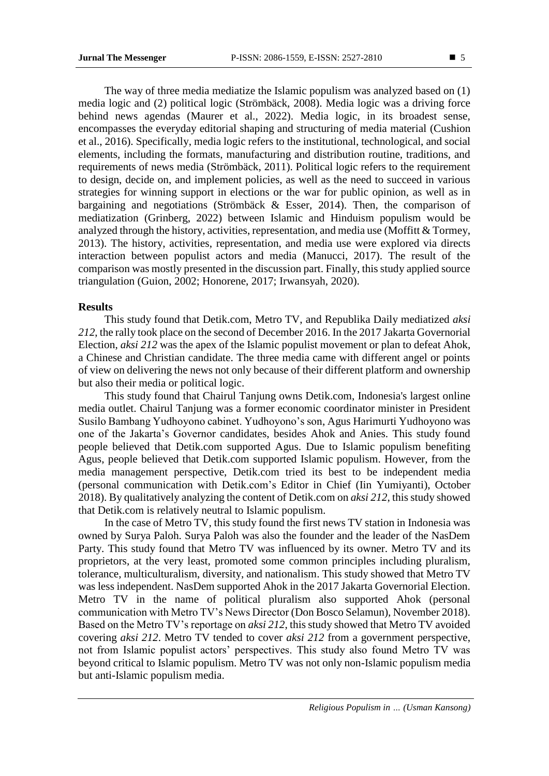The way of three media mediatize the Islamic populism was analyzed based on (1) media logic and (2) political logic (Strömbäck, 2008). Media logic was a driving force behind news agendas (Maurer et al., 2022). Media logic, in its broadest sense, encompasses the everyday editorial shaping and structuring of media material (Cushion et al., 2016). Specifically, media logic refers to the institutional, technological, and social elements, including the formats, manufacturing and distribution routine, traditions, and requirements of news media (Strömbäck, 2011). Political logic refers to the requirement to design, decide on, and implement policies, as well as the need to succeed in various strategies for winning support in elections or the war for public opinion, as well as in bargaining and negotiations (Strömbäck & Esser, 2014). Then, the comparison of mediatization (Grinberg, 2022) between Islamic and Hinduism populism would be analyzed through the history, activities, representation, and media use (Moffitt & Tormey, 2013). The history, activities, representation, and media use were explored via directs interaction between populist actors and media (Manucci, 2017). The result of the comparison was mostly presented in the discussion part. Finally, this study applied source triangulation (Guion, 2002; Honorene, 2017; Irwansyah, 2020).

#### **Results**

This study found that Detik.com, Metro TV, and Republika Daily mediatized *aksi 212*, the rally took place on the second of December 2016. In the 2017 Jakarta Governorial Election, *aksi 212* was the apex of the Islamic populist movement or plan to defeat Ahok, a Chinese and Christian candidate. The three media came with different angel or points of view on delivering the news not only because of their different platform and ownership but also their media or political logic.

This study found that Chairul Tanjung owns Detik.com, Indonesia's largest online media outlet. Chairul Tanjung was a former economic coordinator minister in President Susilo Bambang Yudhoyono cabinet. Yudhoyono's son, Agus Harimurti Yudhoyono was one of the Jakarta's Governor candidates, besides Ahok and Anies. This study found people believed that Detik.com supported Agus. Due to Islamic populism benefiting Agus, people believed that Detik.com supported Islamic populism. However, from the media management perspective, Detik.com tried its best to be independent media (personal communication with Detik.com's Editor in Chief (Iin Yumiyanti), October 2018). By qualitatively analyzing the content of Detik.com on *aksi 212*, this study showed that Detik.com is relatively neutral to Islamic populism.

In the case of Metro TV, this study found the first news TV station in Indonesia was owned by Surya Paloh. Surya Paloh was also the founder and the leader of the NasDem Party. This study found that Metro TV was influenced by its owner. Metro TV and its proprietors, at the very least, promoted some common principles including pluralism, tolerance, multiculturalism, diversity, and nationalism. This study showed that Metro TV was less independent. NasDem supported Ahok in the 2017 Jakarta Governorial Election. Metro TV in the name of political pluralism also supported Ahok (personal communication with Metro TV's News Director (Don Bosco Selamun), November 2018). Based on the Metro TV's reportage on *aksi 212*, this study showed that Metro TV avoided covering *aksi 212*. Metro TV tended to cover *aksi 212* from a government perspective, not from Islamic populist actors' perspectives. This study also found Metro TV was beyond critical to Islamic populism. Metro TV was not only non-Islamic populism media but anti-Islamic populism media.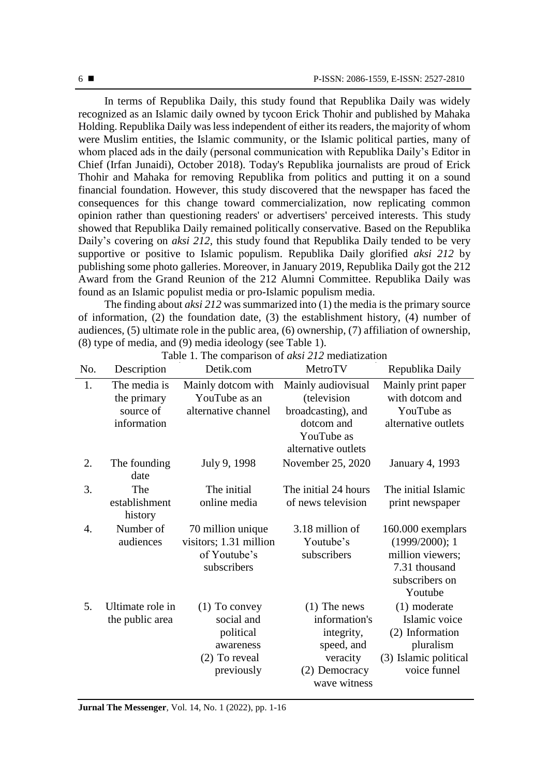In terms of Republika Daily, this study found that Republika Daily was widely recognized as an Islamic daily owned by tycoon Erick Thohir and published by Mahaka Holding. Republika Daily was less independent of either its readers, the majority of whom were Muslim entities, the Islamic community, or the Islamic political parties, many of whom placed ads in the daily (personal communication with Republika Daily's Editor in Chief (Irfan Junaidi), October 2018). Today's Republika journalists are proud of Erick Thohir and Mahaka for removing Republika from politics and putting it on a sound financial foundation. However, this study discovered that the newspaper has faced the consequences for this change toward commercialization, now replicating common opinion rather than questioning readers' or advertisers' perceived interests. This study showed that Republika Daily remained politically conservative. Based on the Republika Daily's covering on *aksi 212*, this study found that Republika Daily tended to be very supportive or positive to Islamic populism. Republika Daily glorified *aksi 212* by publishing some photo galleries. Moreover, in January 2019, Republika Daily got the 212 Award from the Grand Reunion of the 212 Alumni Committee. Republika Daily was found as an Islamic populist media or pro-Islamic populism media.

The finding about *aksi 212* was summarized into (1) the media is the primary source of information, (2) the foundation date, (3) the establishment history, (4) number of audiences, (5) ultimate role in the public area, (6) ownership, (7) affiliation of ownership, (8) type of media, and (9) media ideology (see Table 1).

| No.              | Description                                             | Detik.com                                                                              | MetroTV                                                                                                    | Republika Daily                                                                                          |
|------------------|---------------------------------------------------------|----------------------------------------------------------------------------------------|------------------------------------------------------------------------------------------------------------|----------------------------------------------------------------------------------------------------------|
| 1.               | The media is<br>the primary<br>source of<br>information | Mainly dotcom with<br>YouTube as an<br>alternative channel                             | Mainly audiovisual<br>(television<br>broadcasting), and<br>dotcom and<br>YouTube as<br>alternative outlets | Mainly print paper<br>with dotcom and<br>YouTube as<br>alternative outlets                               |
| 2.               | The founding<br>date                                    | July 9, 1998                                                                           | November 25, 2020                                                                                          | <b>January 4, 1993</b>                                                                                   |
| 3.               | The<br>establishment<br>history                         | The initial<br>online media                                                            | The initial 24 hours<br>of news television                                                                 | The initial Islamic<br>print newspaper                                                                   |
| $\overline{4}$ . | Number of<br>audiences                                  | 70 million unique<br>visitors; 1.31 million<br>of Youtube's<br>subscribers             | 3.18 million of<br>Youtube's<br>subscribers                                                                | 160.000 exemplars<br>(1999/2000); 1<br>million viewers;<br>7.31 thousand<br>subscribers on<br>Youtube    |
| 5.               | Ultimate role in<br>the public area                     | $(1)$ To convey<br>social and<br>political<br>awareness<br>(2) To reveal<br>previously | $(1)$ The news<br>information's<br>integrity,<br>speed, and<br>veracity<br>(2) Democracy<br>wave witness   | $(1)$ moderate<br>Islamic voice<br>(2) Information<br>pluralism<br>(3) Islamic political<br>voice funnel |

Table 1. The comparison of *aksi 212* mediatization

**Jurnal The Messenger**, Vol. 14, No. 1 (2022), pp. 1-16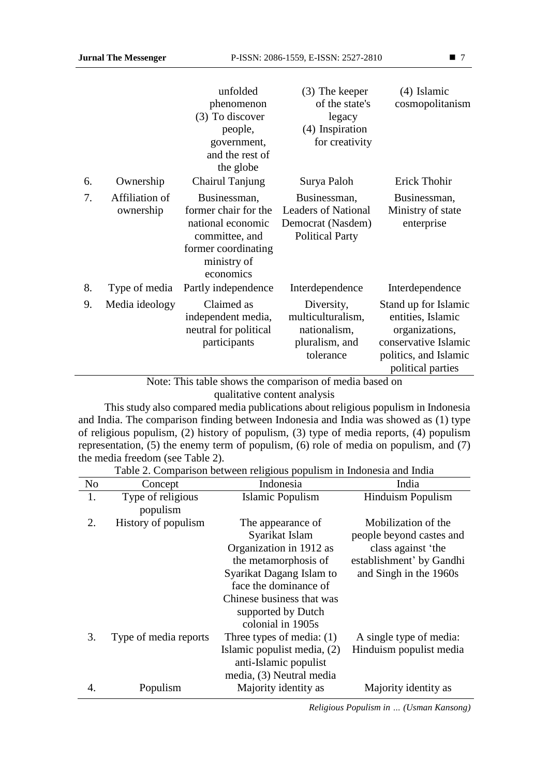|    |                             | unfolded<br>phenomenon<br>(3) To discover<br>people,                                                                           | (3) The keeper<br>of the state's<br>legacy<br>(4) Inspiration                             | (4) Islamic<br>cosmopolitanism                                                                                                    |
|----|-----------------------------|--------------------------------------------------------------------------------------------------------------------------------|-------------------------------------------------------------------------------------------|-----------------------------------------------------------------------------------------------------------------------------------|
|    |                             | government,<br>and the rest of<br>the globe                                                                                    | for creativity                                                                            |                                                                                                                                   |
| 6. | Ownership                   | Chairul Tanjung                                                                                                                | Surya Paloh                                                                               | Erick Thohir                                                                                                                      |
| 7. | Affiliation of<br>ownership | Businessman,<br>former chair for the<br>national economic<br>committee, and<br>former coordinating<br>ministry of<br>economics | Businessman,<br><b>Leaders of National</b><br>Democrat (Nasdem)<br><b>Political Party</b> | Businessman,<br>Ministry of state<br>enterprise                                                                                   |
| 8. | Type of media               | Partly independence                                                                                                            | Interdependence                                                                           | Interdependence                                                                                                                   |
| 9. | Media ideology              | Claimed as<br>independent media,<br>neutral for political<br>participants                                                      | Diversity,<br>multiculturalism,<br>nationalism,<br>pluralism, and<br>tolerance            | Stand up for Islamic<br>entities, Islamic<br>organizations,<br>conservative Islamic<br>politics, and Islamic<br>political parties |

Note: This table shows the comparison of media based on qualitative content analysis

This study also compared media publications about religious populism in Indonesia and India. The comparison finding between Indonesia and India was showed as (1) type of religious populism, (2) history of populism, (3) type of media reports, (4) populism representation, (5) the enemy term of populism, (6) role of media on populism, and (7) the media freedom (see Table 2).

| No | Concept               | т т<br>Indonesia            | India                    |
|----|-----------------------|-----------------------------|--------------------------|
| 1. | Type of religious     | Islamic Populism            | <b>Hinduism Populism</b> |
|    | populism              |                             |                          |
| 2. | History of populism   | The appearance of           | Mobilization of the      |
|    |                       | Syarikat Islam              | people beyond castes and |
|    |                       | Organization in 1912 as     | class against 'the       |
|    |                       | the metamorphosis of        | establishment' by Gandhi |
|    |                       | Syarikat Dagang Islam to    | and Singh in the 1960s   |
|    |                       | face the dominance of       |                          |
|    |                       | Chinese business that was   |                          |
|    |                       | supported by Dutch          |                          |
|    |                       | colonial in 1905s           |                          |
| 3. | Type of media reports | Three types of media: $(1)$ | A single type of media:  |
|    |                       | Islamic populist media, (2) | Hinduism populist media  |
|    |                       | anti-Islamic populist       |                          |
|    |                       | media, (3) Neutral media    |                          |
| 4. | Populism              | Majority identity as        | Majority identity as     |

# Table 2. Comparison between religious populism in Indonesia and India

*Religious Populism in … (Usman Kansong)*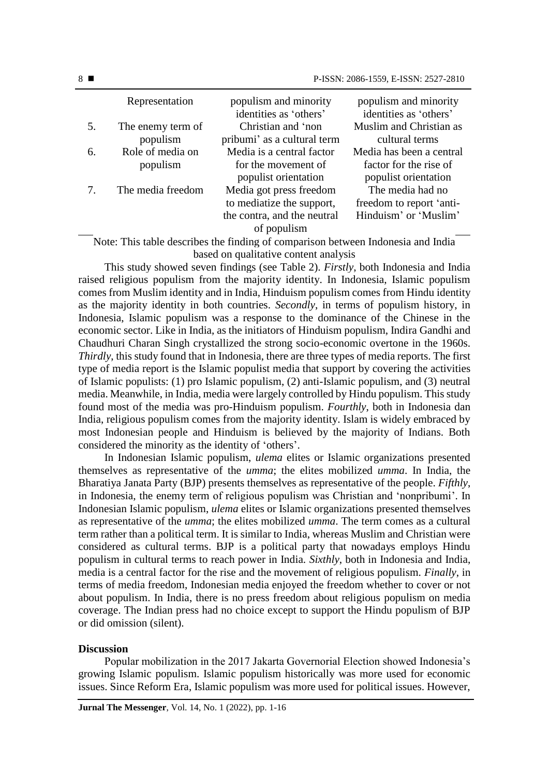|    | Representation                | populism and minority<br>identities as 'others'      | populism and minority<br>identities as 'others' |
|----|-------------------------------|------------------------------------------------------|-------------------------------------------------|
| 5. | The enemy term of<br>populism | Christian and 'non<br>pribumi' as a cultural term    | Muslim and Christian as<br>cultural terms       |
| 6. | Role of media on              | Media is a central factor                            | Media has been a central                        |
|    | populism                      | for the movement of<br>populist orientation          | factor for the rise of<br>populist orientation  |
|    | The media freedom             | Media got press freedom<br>to mediatize the support, | The media had no<br>freedom to report 'anti-    |
|    |                               | the contra, and the neutral<br>of populism           | Hinduism' or 'Muslim'                           |

Note: This table describes the finding of comparison between Indonesia and India based on qualitative content analysis

This study showed seven findings (see Table 2). *Firstly*, both Indonesia and India raised religious populism from the majority identity. In Indonesia, Islamic populism comes from Muslim identity and in India, Hinduism populism comes from Hindu identity as the majority identity in both countries. *Secondly*, in terms of populism history, in Indonesia, Islamic populism was a response to the dominance of the Chinese in the economic sector. Like in India, as the initiators of Hinduism populism, Indira Gandhi and Chaudhuri Charan Singh crystallized the strong socio-economic overtone in the 1960s. *Thirdly*, this study found that in Indonesia, there are three types of media reports. The first type of media report is the Islamic populist media that support by covering the activities of Islamic populists: (1) pro Islamic populism, (2) anti-Islamic populism, and (3) neutral media. Meanwhile, in India, media were largely controlled by Hindu populism. This study found most of the media was pro-Hinduism populism. *Fourthly*, both in Indonesia dan India, religious populism comes from the majority identity. Islam is widely embraced by most Indonesian people and Hinduism is believed by the majority of Indians. Both considered the minority as the identity of 'others'.

In Indonesian Islamic populism, *ulema* elites or Islamic organizations presented themselves as representative of the *umma*; the elites mobilized *umma*. In India, the Bharatiya Janata Party (BJP) presents themselves as representative of the people. *Fifthly*, in Indonesia, the enemy term of religious populism was Christian and 'nonpribumi'. In Indonesian Islamic populism, *ulema* elites or Islamic organizations presented themselves as representative of the *umma*; the elites mobilized *umma*. The term comes as a cultural term rather than a political term. It is similar to India, whereas Muslim and Christian were considered as cultural terms. BJP is a political party that nowadays employs Hindu populism in cultural terms to reach power in India. *Sixthly*, both in Indonesia and India, media is a central factor for the rise and the movement of religious populism. *Finally*, in terms of media freedom, Indonesian media enjoyed the freedom whether to cover or not about populism. In India, there is no press freedom about religious populism on media coverage. The Indian press had no choice except to support the Hindu populism of BJP or did omission (silent).

#### **Discussion**

Popular mobilization in the 2017 Jakarta Governorial Election showed Indonesia's growing Islamic populism. Islamic populism historically was more used for economic issues. Since Reform Era, Islamic populism was more used for political issues. However,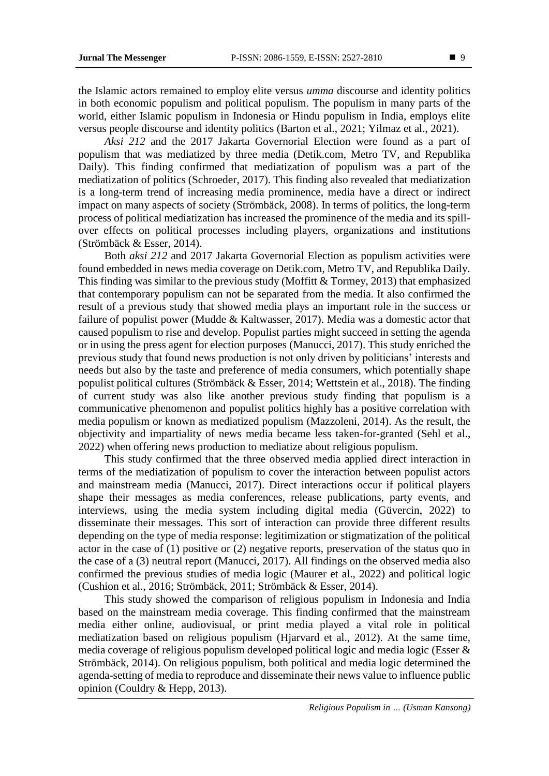the Islamic actors remained to employ elite versus *umma* discourse and identity politics in both economic populism and political populism. The populism in many parts of the world, either Islamic populism in Indonesia or Hindu populism in India, employs elite versus people discourse and identity politics (Barton et al., 2021; Yilmaz et al., 2021).

*Aksi 212* and the 2017 Jakarta Governorial Election were found as a part of populism that was mediatized by three media (Detik.com, Metro TV, and Republika Daily). This finding confirmed that mediatization of populism was a part of the mediatization of politics (Schroeder, 2017). This finding also revealed that mediatization is a long-term trend of increasing media prominence, media have a direct or indirect impact on many aspects of society (Strömbäck, 2008). In terms of politics, the long-term process of political mediatization has increased the prominence of the media and its spillover effects on political processes including players, organizations and institutions (Strömbäck & Esser, 2014).

Both *aksi 212* and 2017 Jakarta Governorial Election as populism activities were found embedded in news media coverage on Detik.com, Metro TV, and Republika Daily. This finding was similar to the previous study (Moffitt & Tormey, 2013) that emphasized that contemporary populism can not be separated from the media. It also confirmed the result of a previous study that showed media plays an important role in the success or failure of populist power (Mudde & Kaltwasser, 2017). Media was a domestic actor that caused populism to rise and develop. Populist parties might succeed in setting the agenda or in using the press agent for election purposes (Manucci, 2017). This study enriched the previous study that found news production is not only driven by politicians' interests and needs but also by the taste and preference of media consumers, which potentially shape populist political cultures (Strömbäck & Esser, 2014; Wettstein et al., 2018). The finding of current study was also like another previous study finding that populism is a communicative phenomenon and populist politics highly has a positive correlation with media populism or known as mediatized populism (Mazzoleni, 2014). As the result, the objectivity and impartiality of news media became less taken-for-granted (Sehl et al., 2022) when offering news production to mediatize about religious populism.

This study confirmed that the three observed media applied direct interaction in terms of the mediatization of populism to cover the interaction between populist actors and mainstream media (Manucci, 2017). Direct interactions occur if political players shape their messages as media conferences, release publications, party events, and interviews, using the media system including digital media (Güvercin, 2022) to disseminate their messages. This sort of interaction can provide three different results depending on the type of media response: legitimization or stigmatization of the political actor in the case of (1) positive or (2) negative reports, preservation of the status quo in the case of a (3) neutral report (Manucci, 2017). All findings on the observed media also confirmed the previous studies of media logic (Maurer et al., 2022) and political logic (Cushion et al., 2016; Strömbäck, 2011; Strömbäck & Esser, 2014).

This study showed the comparison of religious populism in Indonesia and India based on the mainstream media coverage. This finding confirmed that the mainstream media either online, audiovisual, or print media played a vital role in political mediatization based on religious populism (Hjarvard et al., 2012). At the same time, media coverage of religious populism developed political logic and media logic (Esser & Strömbäck, 2014). On religious populism, both political and media logic determined the agenda-setting of media to reproduce and disseminate their news value to influence public opinion (Couldry & Hepp, 2013).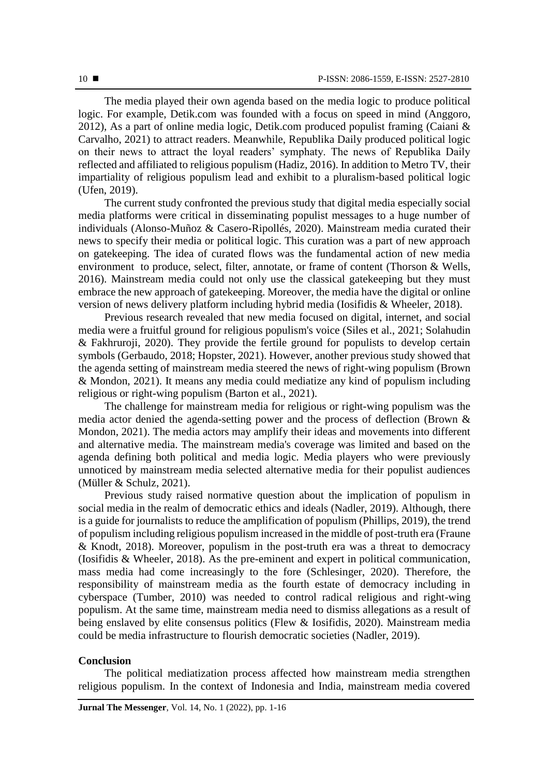The media played their own agenda based on the media logic to produce political logic. For example, Detik.com was founded with a focus on speed in mind (Anggoro, 2012), As a part of online media logic, Detik.com produced populist framing (Caiani  $\&$ Carvalho, 2021) to attract readers. Meanwhile, Republika Daily produced political logic on their news to attract the loyal readers' symphaty. The news of Republika Daily reflected and affiliated to religious populism (Hadiz, 2016). In addition to Metro TV, their impartiality of religious populism lead and exhibit to a pluralism-based political logic (Ufen, 2019).

The current study confronted the previous study that digital media especially social media platforms were critical in disseminating populist messages to a huge number of individuals (Alonso-Muñoz & Casero-Ripollés, 2020). Mainstream media curated their news to specify their media or political logic. This curation was a part of new approach on gatekeeping. The idea of curated flows was the fundamental action of new media environment to produce, select, filter, annotate, or frame of content (Thorson & Wells, 2016). Mainstream media could not only use the classical gatekeeping but they must embrace the new approach of gatekeeping. Moreover, the media have the digital or online version of news delivery platform including hybrid media (Iosifidis & Wheeler, 2018).

Previous research revealed that new media focused on digital, internet, and social media were a fruitful ground for religious populism's voice (Siles et al., 2021; Solahudin & Fakhruroji, 2020). They provide the fertile ground for populists to develop certain symbols (Gerbaudo, 2018; Hopster, 2021). However, another previous study showed that the agenda setting of mainstream media steered the news of right-wing populism (Brown & Mondon, 2021). It means any media could mediatize any kind of populism including religious or right-wing populism (Barton et al., 2021).

The challenge for mainstream media for religious or right-wing populism was the media actor denied the agenda-setting power and the process of deflection (Brown & Mondon, 2021). The media actors may amplify their ideas and movements into different and alternative media. The mainstream media's coverage was limited and based on the agenda defining both political and media logic. Media players who were previously unnoticed by mainstream media selected alternative media for their populist audiences (Müller & Schulz, 2021).

Previous study raised normative question about the implication of populism in social media in the realm of democratic ethics and ideals (Nadler, 2019). Although, there is a guide for journalists to reduce the amplification of populism (Phillips, 2019), the trend of populism including religious populism increased in the middle of post-truth era (Fraune & Knodt, 2018). Moreover, populism in the post-truth era was a threat to democracy (Iosifidis & Wheeler, 2018). As the pre-eminent and expert in political communication, mass media had come increasingly to the fore (Schlesinger, 2020). Therefore, the responsibility of mainstream media as the fourth estate of democracy including in cyberspace (Tumber, 2010) was needed to control radical religious and right-wing populism. At the same time, mainstream media need to dismiss allegations as a result of being enslaved by elite consensus politics (Flew & Iosifidis, 2020). Mainstream media could be media infrastructure to flourish democratic societies (Nadler, 2019).

## **Conclusion**

The political mediatization process affected how mainstream media strengthen religious populism. In the context of Indonesia and India, mainstream media covered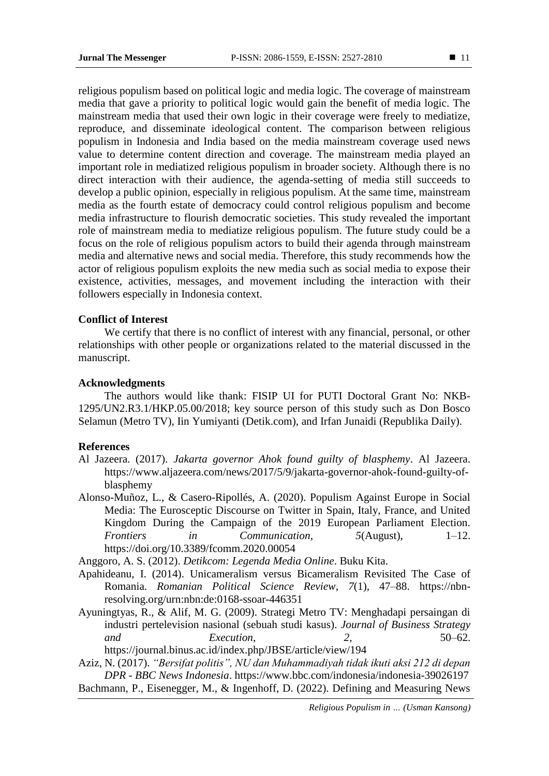religious populism based on political logic and media logic. The coverage of mainstream media that gave a priority to political logic would gain the benefit of media logic. The mainstream media that used their own logic in their coverage were freely to mediatize, reproduce, and disseminate ideological content. The comparison between religious populism in Indonesia and India based on the media mainstream coverage used news value to determine content direction and coverage. The mainstream media played an important role in mediatized religious populism in broader society. Although there is no direct interaction with their audience, the agenda-setting of media still succeeds to develop a public opinion, especially in religious populism. At the same time, mainstream media as the fourth estate of democracy could control religious populism and become media infrastructure to flourish democratic societies. This study revealed the important role of mainstream media to mediatize religious populism. The future study could be a focus on the role of religious populism actors to build their agenda through mainstream media and alternative news and social media. Therefore, this study recommends how the actor of religious populism exploits the new media such as social media to expose their existence, activities, messages, and movement including the interaction with their followers especially in Indonesia context.

## **Conflict of Interest**

We certify that there is no conflict of interest with any financial, personal, or other relationships with other people or organizations related to the material discussed in the manuscript.

## **Acknowledgments**

The authors would like thank: FISIP UI for PUTI Doctoral Grant No: NKB-1295/UN2.R3.1/HKP.05.00/2018; key source person of this study such as Don Bosco Selamun (Metro TV), Iin Yumiyanti (Detik.com), and Irfan Junaidi (Republika Daily).

## **References**

- Al Jazeera. (2017). *Jakarta governor Ahok found guilty of blasphemy*. Al Jazeera. https://www.aljazeera.com/news/2017/5/9/jakarta-governor-ahok-found-guilty-ofblasphemy
- Alonso-Muñoz, L., & Casero-Ripollés, A. (2020). Populism Against Europe in Social Media: The Eurosceptic Discourse on Twitter in Spain, Italy, France, and United Kingdom During the Campaign of the 2019 European Parliament Election. *Frontiers in Communication*, *5*(August), 1–12. https://doi.org/10.3389/fcomm.2020.00054

Anggoro, A. S. (2012). *Detikcom: Legenda Media Online*. Buku Kita.

- Apahideanu, I. (2014). Unicameralism versus Bicameralism Revisited The Case of Romania. *Romanian Political Science Review*, *7*(1), 47–88. https://nbnresolving.org/urn:nbn:de:0168-ssoar-446351
- Ayuningtyas, R., & Alif, M. G. (2009). Strategi Metro TV: Menghadapi persaingan di industri pertelevision nasional (sebuah studi kasus). *Journal of Business Strategy and Execution*, *2*, 50–62. https://journal.binus.ac.id/index.php/JBSE/article/view/194

Aziz, N. (2017). *"Bersifat politis", NU dan Muhammadiyah tidak ikuti aksi 212 di depan DPR - BBC News Indonesia*. https://www.bbc.com/indonesia/indonesia-39026197 Bachmann, P., Eisenegger, M., & Ingenhoff, D. (2022). Defining and Measuring News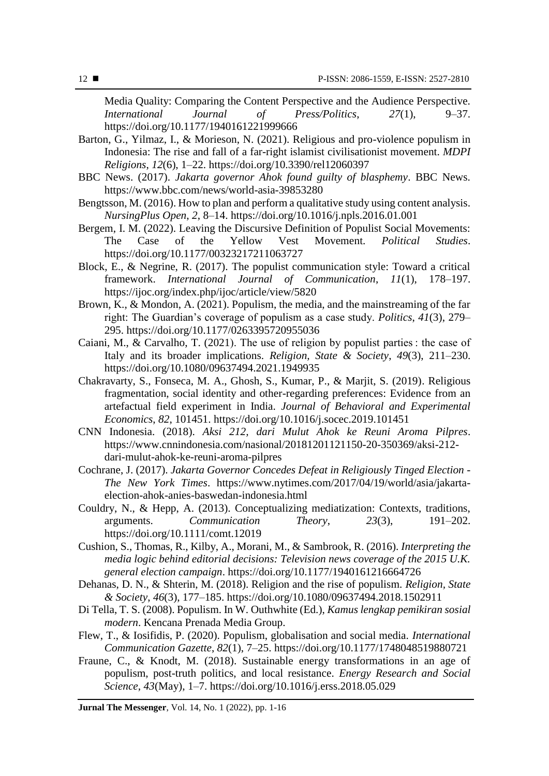Media Quality: Comparing the Content Perspective and the Audience Perspective. *International Journal of Press/Politics*, *27*(1), 9–37. https://doi.org/10.1177/1940161221999666

- Barton, G., Yilmaz, I., & Morieson, N. (2021). Religious and pro-violence populism in Indonesia: The rise and fall of a far-right islamist civilisationist movement. *MDPI Religions*, *12*(6), 1–22. https://doi.org/10.3390/rel12060397
- BBC News. (2017). *Jakarta governor Ahok found guilty of blasphemy*. BBC News. https://www.bbc.com/news/world-asia-39853280
- Bengtsson, M. (2016). How to plan and perform a qualitative study using content analysis. *NursingPlus Open*, *2*, 8–14. https://doi.org/10.1016/j.npls.2016.01.001
- Bergem, I. M. (2022). Leaving the Discursive Definition of Populist Social Movements: The Case of the Yellow Vest Movement. *Political Studies*. https://doi.org/10.1177/00323217211063727
- Block, E., & Negrine, R. (2017). The populist communication style: Toward a critical framework. *International Journal of Communication*, *11*(1), 178–197. https://ijoc.org/index.php/ijoc/article/view/5820
- Brown, K., & Mondon, A. (2021). Populism, the media, and the mainstreaming of the far right: The Guardian's coverage of populism as a case study. *Politics*, *41*(3), 279– 295. https://doi.org/10.1177/0263395720955036
- Caiani, M., & Carvalho, T. (2021). The use of religion by populist parties : the case of Italy and its broader implications. *Religion, State & Society*, *49*(3), 211–230. https://doi.org/10.1080/09637494.2021.1949935
- Chakravarty, S., Fonseca, M. A., Ghosh, S., Kumar, P., & Marjit, S. (2019). Religious fragmentation, social identity and other-regarding preferences: Evidence from an artefactual field experiment in India. *Journal of Behavioral and Experimental Economics*, *82*, 101451. https://doi.org/10.1016/j.socec.2019.101451
- CNN Indonesia. (2018). *Aksi 212, dari Mulut Ahok ke Reuni Aroma Pilpres*. https://www.cnnindonesia.com/nasional/20181201121150-20-350369/aksi-212 dari-mulut-ahok-ke-reuni-aroma-pilpres

Cochrane, J. (2017). *Jakarta Governor Concedes Defeat in Religiously Tinged Election - The New York Times*. https://www.nytimes.com/2017/04/19/world/asia/jakartaelection-ahok-anies-baswedan-indonesia.html

- Couldry, N., & Hepp, A. (2013). Conceptualizing mediatization: Contexts, traditions, arguments. *Communication Theory*, *23*(3), 191–202. https://doi.org/10.1111/comt.12019
- Cushion, S., Thomas, R., Kilby, A., Morani, M., & Sambrook, R. (2016). *Interpreting the media logic behind editorial decisions: Television news coverage of the 2015 U.K. general election campaign*. https://doi.org/10.1177/1940161216664726
- Dehanas, D. N., & Shterin, M. (2018). Religion and the rise of populism. *Religion, State & Society*, *46*(3), 177–185. https://doi.org/10.1080/09637494.2018.1502911
- Di Tella, T. S. (2008). Populism. In W. Outhwhite (Ed.), *Kamus lengkap pemikiran sosial modern*. Kencana Prenada Media Group.
- Flew, T., & Iosifidis, P. (2020). Populism, globalisation and social media. *International Communication Gazette*, *82*(1), 7–25. https://doi.org/10.1177/1748048519880721
- Fraune, C., & Knodt, M. (2018). Sustainable energy transformations in an age of populism, post-truth politics, and local resistance. *Energy Research and Social Science*, *43*(May), 1–7. https://doi.org/10.1016/j.erss.2018.05.029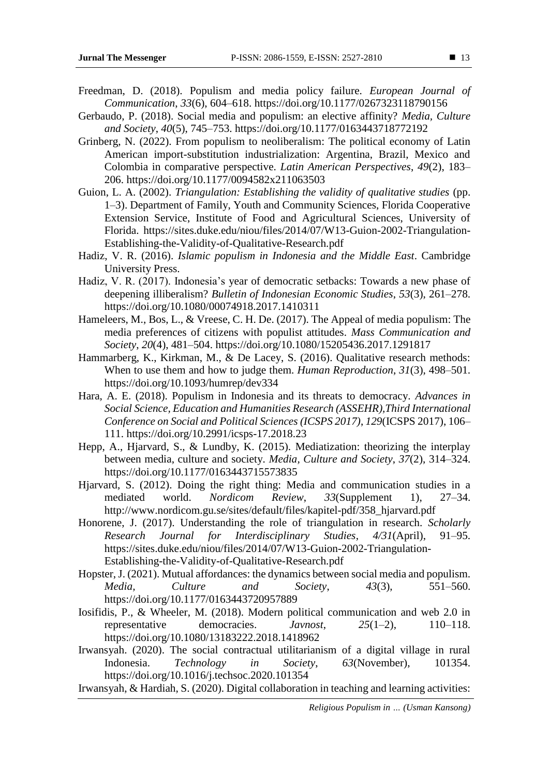- Freedman, D. (2018). Populism and media policy failure. *European Journal of Communication*, *33*(6), 604–618. https://doi.org/10.1177/0267323118790156
- Gerbaudo, P. (2018). Social media and populism: an elective affinity? *Media, Culture and Society*, *40*(5), 745–753. https://doi.org/10.1177/0163443718772192
- Grinberg, N. (2022). From populism to neoliberalism: The political economy of Latin American import-substitution industrialization: Argentina, Brazil, Mexico and Colombia in comparative perspective. *Latin American Perspectives*, *49*(2), 183– 206. https://doi.org/10.1177/0094582x211063503
- Guion, L. A. (2002). *Triangulation: Establishing the validity of qualitative studies* (pp. 1–3). Department of Family, Youth and Community Sciences, Florida Cooperative Extension Service, Institute of Food and Agricultural Sciences, University of Florida. https://sites.duke.edu/niou/files/2014/07/W13-Guion-2002-Triangulation-Establishing-the-Validity-of-Qualitative-Research.pdf
- Hadiz, V. R. (2016). *Islamic populism in Indonesia and the Middle East*. Cambridge University Press.
- Hadiz, V. R. (2017). Indonesia's year of democratic setbacks: Towards a new phase of deepening illiberalism? *Bulletin of Indonesian Economic Studies*, *53*(3), 261–278. https://doi.org/10.1080/00074918.2017.1410311
- Hameleers, M., Bos, L., & Vreese, C. H. De. (2017). The Appeal of media populism: The media preferences of citizens with populist attitudes. *Mass Communication and Society*, *20*(4), 481–504. https://doi.org/10.1080/15205436.2017.1291817
- Hammarberg, K., Kirkman, M., & De Lacey, S. (2016). Qualitative research methods: When to use them and how to judge them. *Human Reproduction*, *31*(3), 498–501. https://doi.org/10.1093/humrep/dev334
- Hara, A. E. (2018). Populism in Indonesia and its threats to democracy. *Advances in Social Science, Education and Humanities Research (ASSEHR),Third International Conference on Social and Political Sciences (ICSPS 2017)*, *129*(ICSPS 2017), 106– 111. https://doi.org/10.2991/icsps-17.2018.23
- Hepp, A., Hjarvard, S., & Lundby, K. (2015). Mediatization: theorizing the interplay between media, culture and society. *Media, Culture and Society*, *37*(2), 314–324. https://doi.org/10.1177/0163443715573835
- Hjarvard, S. (2012). Doing the right thing: Media and communication studies in a mediated world. *Nordicom Review*, *33*(Supplement 1), 27–34. http://www.nordicom.gu.se/sites/default/files/kapitel-pdf/358\_hjarvard.pdf
- Honorene, J. (2017). Understanding the role of triangulation in research. *Scholarly Research Journal for Interdisciplinary Studies*, *4/31*(April), 91–95. https://sites.duke.edu/niou/files/2014/07/W13-Guion-2002-Triangulation-Establishing-the-Validity-of-Qualitative-Research.pdf
- Hopster, J. (2021). Mutual affordances: the dynamics between social media and populism. *Media, Culture and Society*, *43*(3), 551–560. https://doi.org/10.1177/0163443720957889
- Iosifidis, P., & Wheeler, M. (2018). Modern political communication and web 2.0 in representative democracies. *Javnost*, *25*(1–2), 110–118. https://doi.org/10.1080/13183222.2018.1418962
- Irwansyah. (2020). The social contractual utilitarianism of a digital village in rural Indonesia. *Technology in Society*, *63*(November), 101354. https://doi.org/10.1016/j.techsoc.2020.101354
- Irwansyah, & Hardiah, S. (2020). Digital collaboration in teaching and learning activities: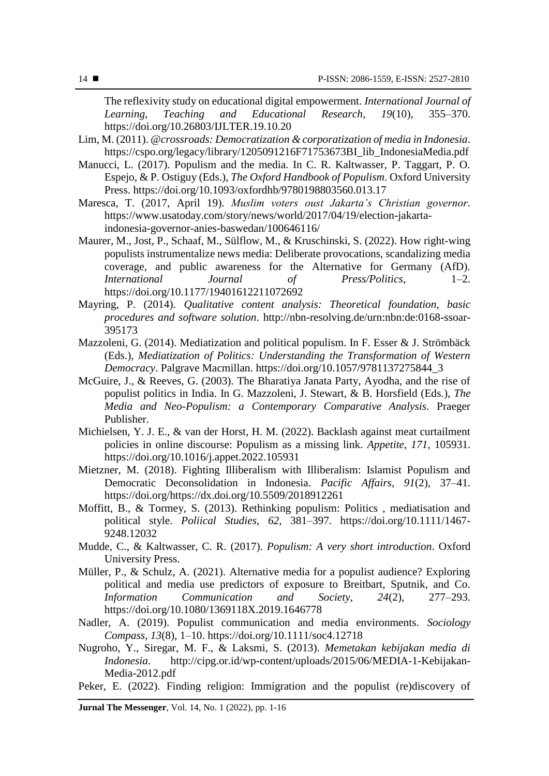The reflexivity study on educational digital empowerment. *International Journal of Learning, Teaching and Educational Research*, *19*(10), 355–370. https://doi.org/10.26803/IJLTER.19.10.20

- Lim, M. (2011). *@crossroads: Democratization & corporatization of media in Indonesia*. https://cspo.org/legacy/library/1205091216F71753673BI\_lib\_IndonesiaMedia.pdf
- Manucci, L. (2017). Populism and the media. In C. R. Kaltwasser, P. Taggart, P. O. Espejo, & P. Ostiguy (Eds.), *The Oxford Handbook of Populism*. Oxford University Press. https://doi.org/10.1093/oxfordhb/9780198803560.013.17
- Maresca, T. (2017, April 19). *Muslim voters oust Jakarta's Christian governor*. https://www.usatoday.com/story/news/world/2017/04/19/election-jakartaindonesia-governor-anies-baswedan/100646116/
- Maurer, M., Jost, P., Schaaf, M., Sülflow, M., & Kruschinski, S. (2022). How right-wing populists instrumentalize news media: Deliberate provocations, scandalizing media coverage, and public awareness for the Alternative for Germany (AfD). *International Journal of Press/Politics*, 1–2. https://doi.org/10.1177/19401612211072692
- Mayring, P. (2014). *Qualitative content analysis: Theoretical foundation, basic procedures and software solution*. http://nbn-resolving.de/urn:nbn:de:0168-ssoar-395173
- Mazzoleni, G. (2014). Mediatization and political populism. In F. Esser & J. Strömbäck (Eds.), *Mediatization of Politics: Understanding the Transformation of Western Democracy*. Palgrave Macmillan. https://doi.org/10.1057/9781137275844\_3
- McGuire, J., & Reeves, G. (2003). The Bharatiya Janata Party, Ayodha, and the rise of populist politics in India. In G. Mazzoleni, J. Stewart, & B. Horsfield (Eds.), *The Media and Neo-Populism: a Contemporary Comparative Analysis*. Praeger Publisher.
- Michielsen, Y. J. E., & van der Horst, H. M. (2022). Backlash against meat curtailment policies in online discourse: Populism as a missing link. *Appetite*, *171*, 105931. https://doi.org/10.1016/j.appet.2022.105931
- Mietzner, M. (2018). Fighting Illiberalism with Illiberalism: Islamist Populism and Democratic Deconsolidation in Indonesia. *Pacific Affairs*, *91*(2), 37–41. https://doi.org/https://dx.doi.org/10.5509/2018912261
- Moffitt, B., & Tormey, S. (2013). Rethinking populism: Politics , mediatisation and political style. *Poliical Studies*, *62*, 381–397. https://doi.org/10.1111/1467- 9248.12032
- Mudde, C., & Kaltwasser, C. R. (2017). *Populism: A very short introduction*. Oxford University Press.
- Müller, P., & Schulz, A. (2021). Alternative media for a populist audience? Exploring political and media use predictors of exposure to Breitbart, Sputnik, and Co. *Information Communication and Society*, *24*(2), 277–293. https://doi.org/10.1080/1369118X.2019.1646778
- Nadler, A. (2019). Populist communication and media environments. *Sociology Compass*, *13*(8), 1–10. https://doi.org/10.1111/soc4.12718
- Nugroho, Y., Siregar, M. F., & Laksmi, S. (2013). *Memetakan kebijakan media di Indonesia*. http://cipg.or.id/wp-content/uploads/2015/06/MEDIA-1-Kebijakan-Media-2012.pdf
- Peker, E. (2022). Finding religion: Immigration and the populist (re)discovery of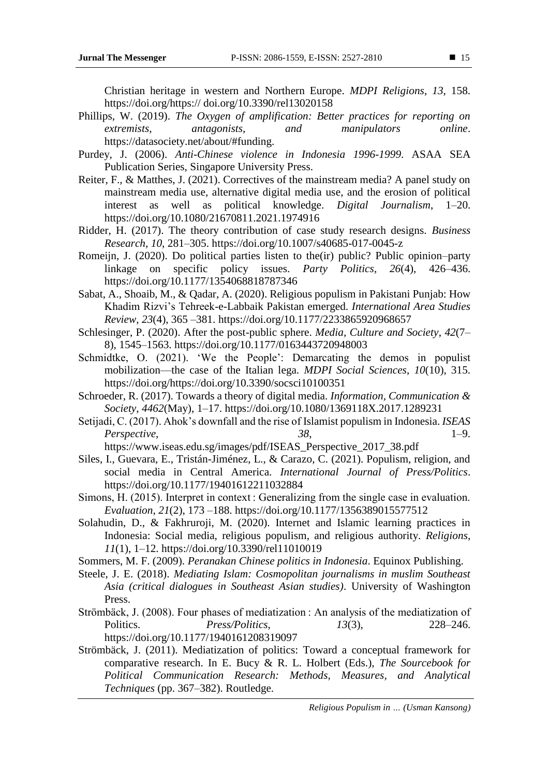Christian heritage in western and Northern Europe. *MDPI Religions*, *13*, 158. https://doi.org/https:// doi.org/10.3390/rel13020158

- Phillips, W. (2019). *The Oxygen of amplification: Better practices for reporting on extremists, antagonists, and manipulators online*. https://datasociety.net/about/#funding.
- Purdey, J. (2006). *Anti-Chinese violence in Indonesia 1996-1999*. ASAA SEA Publication Series, Singapore University Press.
- Reiter, F., & Matthes, J. (2021). Correctives of the mainstream media? A panel study on mainstream media use, alternative digital media use, and the erosion of political interest as well as political knowledge. *Digital Journalism*, 1–20. https://doi.org/10.1080/21670811.2021.1974916
- Ridder, H. (2017). The theory contribution of case study research designs. *Business Research*, *10*, 281–305. https://doi.org/10.1007/s40685-017-0045-z
- Romeijn, J. (2020). Do political parties listen to the(ir) public? Public opinion–party linkage on specific policy issues. *Party Politics*, *26*(4), 426–436. https://doi.org/10.1177/1354068818787346
- Sabat, A., Shoaib, M., & Qadar, A. (2020). Religious populism in Pakistani Punjab: How Khadim Rizvi's Tehreek-e-Labbaik Pakistan emerged. *International Area Studies Review*, *23*(4), 365 –381. https://doi.org/10.1177/2233865920968657
- Schlesinger, P. (2020). After the post-public sphere. *Media, Culture and Society*, *42*(7– 8), 1545–1563. https://doi.org/10.1177/0163443720948003
- Schmidtke, O. (2021). 'We the People': Demarcating the demos in populist mobilization—the case of the Italian lega. *MDPI Social Sciences*, *10*(10), 315. https://doi.org/https://doi.org/10.3390/socsci10100351
- Schroeder, R. (2017). Towards a theory of digital media. *Information, Communication & Society*, *4462*(May), 1–17. https://doi.org/10.1080/1369118X.2017.1289231
- Setijadi, C. (2017). Ahok's downfall and the rise of Islamist populism in Indonesia. *ISEAS Perspective*, *38*, 1–9.

https://www.iseas.edu.sg/images/pdf/ISEAS\_Perspective\_2017\_38.pdf

- Siles, I., Guevara, E., Tristán-Jiménez, L., & Carazo, C. (2021). Populism, religion, and social media in Central America. *International Journal of Press/Politics*. https://doi.org/10.1177/19401612211032884
- Simons, H. (2015). Interpret in context : Generalizing from the single case in evaluation. *Evaluation*, *21*(2), 173 –188. https://doi.org/10.1177/1356389015577512
- Solahudin, D., & Fakhruroji, M. (2020). Internet and Islamic learning practices in Indonesia: Social media, religious populism, and religious authority. *Religions*, *11*(1), 1–12. https://doi.org/10.3390/rel11010019
- Sommers, M. F. (2009). *Peranakan Chinese politics in Indonesia*. Equinox Publishing.
- Steele, J. E. (2018). *Mediating Islam: Cosmopolitan journalisms in muslim Southeast Asia (critical dialogues in Southeast Asian studies)*. University of Washington Press.
- Strömbäck, J. (2008). Four phases of mediatization : An analysis of the mediatization of Politics. *Press/Politics*, *13*(3), 228–246. https://doi.org/10.1177/1940161208319097
- Strömbäck, J. (2011). Mediatization of politics: Toward a conceptual framework for comparative research. In E. Bucy & R. L. Holbert (Eds.), *The Sourcebook for Political Communication Research: Methods, Measures, and Analytical Techniques* (pp. 367–382). Routledge.